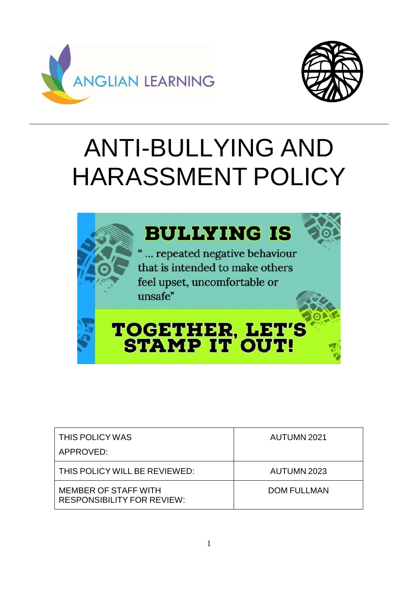



# ANTI-BULLYING AND HARASSMENT POLICY



| THIS POLICY WAS<br>APPROVED:                                     | AUTUMN 2021        |
|------------------------------------------------------------------|--------------------|
| THIS POLICY WILL BE REVIEWED:                                    | AUTUMN 2023        |
| <b>MEMBER OF STAFF WITH</b><br><b>RESPONSIBILITY FOR REVIEW:</b> | <b>DOM FULLMAN</b> |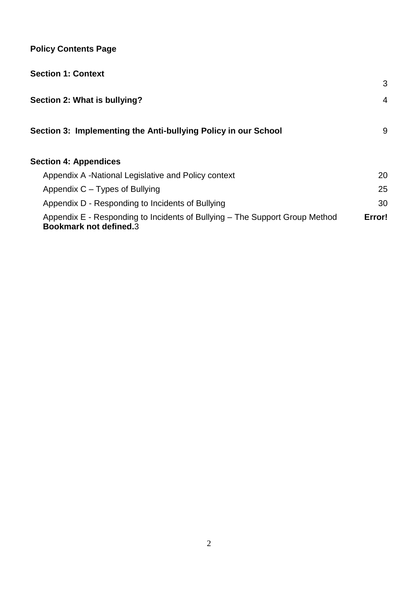# **Policy Contents Page**

| <b>Section 1: Context</b>                                                                                    |        |
|--------------------------------------------------------------------------------------------------------------|--------|
|                                                                                                              | 3      |
| Section 2: What is bullying?                                                                                 | 4      |
| Section 3: Implementing the Anti-bullying Policy in our School                                               | 9      |
| <b>Section 4: Appendices</b>                                                                                 |        |
| Appendix A -National Legislative and Policy context                                                          | 20     |
| Appendix C – Types of Bullying                                                                               | 25     |
| Appendix D - Responding to Incidents of Bullying                                                             | 30     |
| Appendix E - Responding to Incidents of Bullying – The Support Group Method<br><b>Bookmark not defined.3</b> | Error! |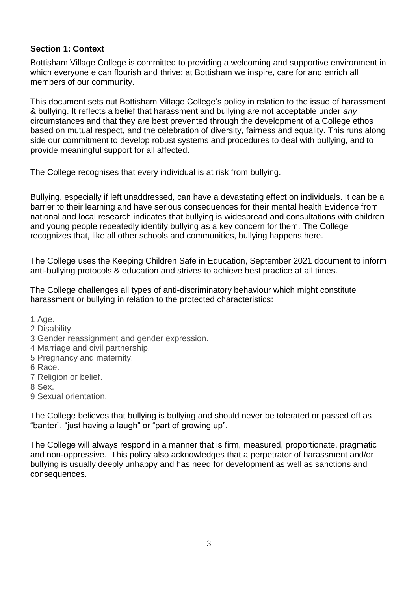#### **Section 1: Context**

Bottisham Village College is committed to providing a welcoming and supportive environment in which everyone e can flourish and thrive; at Bottisham we inspire, care for and enrich all members of our community.

This document sets out Bottisham Village College's policy in relation to the issue of harassment & bullying. It reflects a belief that harassment and bullying are not acceptable under *any* circumstances and that they are best prevented through the development of a College ethos based on mutual respect, and the celebration of diversity, fairness and equality. This runs along side our commitment to develop robust systems and procedures to deal with bullying, and to provide meaningful support for all affected.

The College recognises that every individual is at risk from bullying.

Bullying, especially if left unaddressed, can have a devastating effect on individuals. It can be a barrier to their learning and have serious consequences for their mental health Evidence from national and local research indicates that bullying is widespread and consultations with children and young people repeatedly identify bullying as a key concern for them. The College recognizes that, like all other schools and communities, bullying happens here.

The College uses the Keeping Children Safe in Education, September 2021 document to inform anti-bullying protocols & education and strives to achieve best practice at all times.

The College challenges all types of anti-discriminatory behaviour which might constitute harassment or bullying in relation to the protected characteristics:

1 Age.

- 2 Disability.
- 3 Gender reassignment and gender expression.
- 4 Marriage and civil partnership.
- 5 Pregnancy and maternity.
- 6 Race.
- 7 Religion or belief.

8 Sex.

9 Sexual orientation.

The College believes that bullying is bullying and should never be tolerated or passed off as "banter", "just having a laugh" or "part of growing up".

The College will always respond in a manner that is firm, measured, proportionate, pragmatic and non-oppressive. This policy also acknowledges that a perpetrator of harassment and/or bullying is usually deeply unhappy and has need for development as well as sanctions and consequences.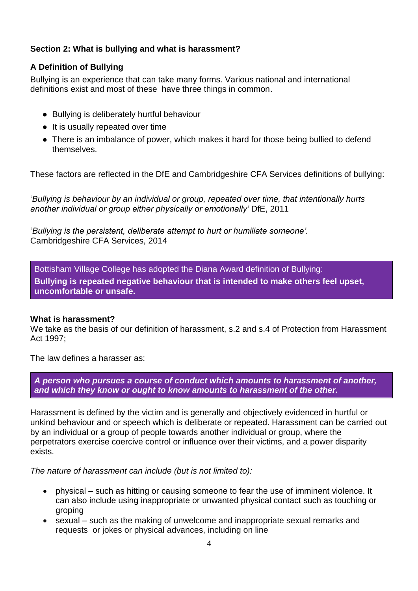### <span id="page-3-0"></span>**Section 2: What is bullying and what is harassment?**

## **A Definition of Bullying**

Bullying is an experience that can take many forms. Various national and international definitions exist and most of these have three things in common.

- Bullying is deliberately hurtful behaviour
- It is usually repeated over time
- There is an imbalance of power, which makes it hard for those being bullied to defend themselves.

These factors are reflected in the DfE and Cambridgeshire CFA Services definitions of bullying:

'*Bullying is behaviour by an individual or group, repeated over time, that intentionally hurts another individual or group either physically or emotionally'* DfE, 2011

'*Bullying is the persistent, deliberate attempt to hurt or humiliate someone'.*  Cambridgeshire CFA Services, 2014

Bottisham Village College has adopted the Diana Award definition of Bullying: **Bullying is repeated negative behaviour that is intended to make others feel upset, uncomfortable or unsafe.**

### **What is harassment?**

We take as the basis of our definition of harassment, s.2 and s.4 of Protection from Harassment Act 1997;

The law defines a harasser as:

*A person who pursues a course of conduct which amounts to harassment of another, and which they know or ought to know amounts to harassment of the other.*

Harassment is defined by the victim and is generally and objectively evidenced in hurtful or unkind behaviour and or speech which is deliberate or repeated. Harassment can be carried out by an individual or a group of people towards another individual or group, where the perpetrators exercise coercive control or influence over their victims, and a power disparity exists.

*The nature of harassment can include (but is not limited to):*

- physical such as hitting or causing someone to fear the use of imminent violence. It can also include using inappropriate or unwanted physical contact such as touching or groping
- sexual such as the making of unwelcome and inappropriate sexual remarks and requests or jokes or physical advances, including on line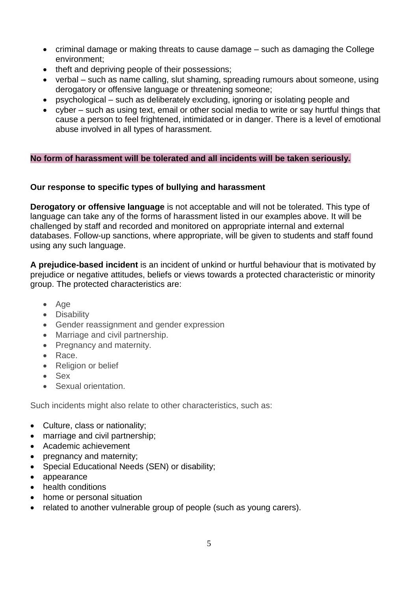- criminal damage or making threats to cause damage such as damaging the College environment;
- theft and depriving people of their possessions;
- verbal such as name calling, slut shaming, spreading rumours about someone, using derogatory or offensive language or threatening someone;
- psychological such as deliberately excluding, ignoring or isolating people and
- cyber such as using text, email or other social media to write or say hurtful things that cause a person to feel frightened, intimidated or in danger. There is a level of emotional abuse involved in all types of harassment.

#### **No form of harassment will be tolerated and all incidents will be taken seriously.**

### **Our response to specific types of bullying and harassment**

**Derogatory or offensive language** is not acceptable and will not be tolerated. This type of language can take any of the forms of harassment listed in our examples above. It will be challenged by staff and recorded and monitored on appropriate internal and external databases. Follow-up sanctions, where appropriate, will be given to students and staff found using any such language.

**A prejudice-based incident** is an incident of unkind or hurtful behaviour that is motivated by prejudice or negative attitudes, beliefs or views towards a protected characteristic or minority group. The protected characteristics are:

- Age
- Disability
- Gender reassignment and gender expression
- Marriage and civil partnership.
- Pregnancy and maternity.
- Race.
- Religion or belief
- Sex
- Sexual orientation.

Such incidents might also relate to other characteristics, such as:

- Culture, class or nationality;
- marriage and civil partnership;
- Academic achievement
- pregnancy and maternity;
- Special Educational Needs (SEN) or disability;
- appearance
- health conditions
- home or personal situation
- related to another vulnerable group of people (such as young carers).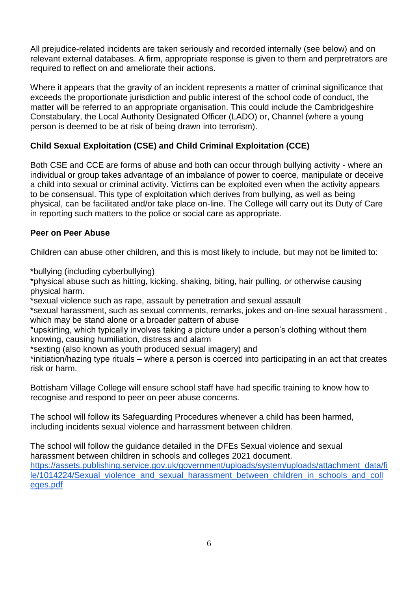All prejudice-related incidents are taken seriously and recorded internally (see below) and on relevant external databases. A firm, appropriate response is given to them and perpretrators are required to reflect on and ameliorate their actions.

Where it appears that the gravity of an incident represents a matter of criminal significance that exceeds the proportionate jurisdiction and public interest of the school code of conduct, the matter will be referred to an appropriate organisation. This could include the Cambridgeshire Constabulary, the Local Authority Designated Officer (LADO) or, Channel (where a young person is deemed to be at risk of being drawn into terrorism).

# **Child Sexual Exploitation (CSE) and Child Criminal Exploitation (CCE)**

Both CSE and CCE are forms of abuse and both can occur through bullying activity - where an individual or group takes advantage of an imbalance of power to coerce, manipulate or deceive a child into sexual or criminal activity. Victims can be exploited even when the activity appears to be consensual. This type of exploitation which derives from bullying, as well as being physical, can be facilitated and/or take place on-line. The College will carry out its Duty of Care in reporting such matters to the police or social care as appropriate.

#### **Peer on Peer Abuse**

Children can abuse other children, and this is most likely to include, but may not be limited to:

\*bullying (including cyberbullying)

\*physical abuse such as hitting, kicking, shaking, biting, hair pulling, or otherwise causing physical harm.

\*sexual violence such as rape, assault by penetration and sexual assault

\*sexual harassment, such as sexual comments, remarks, jokes and on-line sexual harassment , which may be stand alone or a broader pattern of abuse

\*upskirting, which typically involves taking a picture under a person's clothing without them knowing, causing humiliation, distress and alarm

\*sexting (also known as youth produced sexual imagery) and

\*initiation/hazing type rituals – where a person is coerced into participating in an act that creates risk or harm.

Bottisham Village College will ensure school staff have had specific training to know how to recognise and respond to peer on peer abuse concerns.

The school will follow its Safeguarding Procedures whenever a child has been harmed, including incidents sexual violence and harrassment between children.

The school will follow the guidance detailed in the DFEs Sexual violence and sexual harassment between children in schools and colleges 2021 document. [https://assets.publishing.service.gov.uk/government/uploads/system/uploads/attachment\\_data/fi](https://assets.publishing.service.gov.uk/government/uploads/system/uploads/attachment_data/file/1014224/Sexual_violence_and_sexual_harassment_between_children_in_schools_and_colleges.pdf) [le/1014224/Sexual\\_violence\\_and\\_sexual\\_harassment\\_between\\_children\\_in\\_schools\\_and\\_coll](https://assets.publishing.service.gov.uk/government/uploads/system/uploads/attachment_data/file/1014224/Sexual_violence_and_sexual_harassment_between_children_in_schools_and_colleges.pdf) [eges.pdf](https://assets.publishing.service.gov.uk/government/uploads/system/uploads/attachment_data/file/1014224/Sexual_violence_and_sexual_harassment_between_children_in_schools_and_colleges.pdf)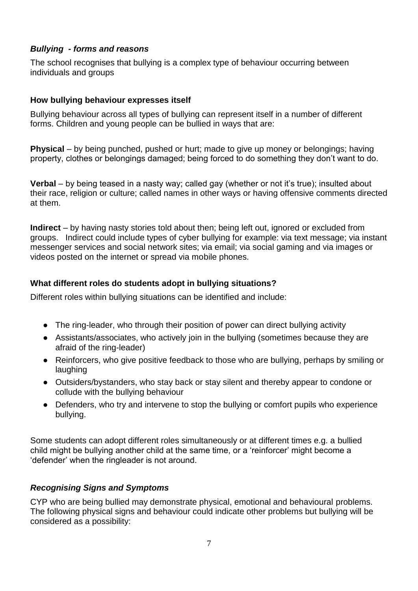## *Bullying - forms and reasons*

The school recognises that bullying is a complex type of behaviour occurring between individuals and groups

#### **How bullying behaviour expresses itself**

Bullying behaviour across all types of bullying can represent itself in a number of different forms. Children and young people can be bullied in ways that are:

**Physical** – by being punched, pushed or hurt; made to give up money or belongings; having property, clothes or belongings damaged; being forced to do something they don't want to do.

**Verbal** – by being teased in a nasty way; called gay (whether or not it's true); insulted about their race, religion or culture; called names in other ways or having offensive comments directed at them.

**Indirect** – by having nasty stories told about then; being left out, ignored or excluded from groups. Indirect could include types of cyber bullying for example: via text message; via instant messenger services and social network sites; via email; via social gaming and via images or videos posted on the internet or spread via mobile phones.

### **What different roles do students adopt in bullying situations?**

Different roles within bullying situations can be identified and include:

- The ring-leader, who through their position of power can direct bullying activity
- Assistants/associates, who actively join in the bullying (sometimes because they are afraid of the ring-leader)
- Reinforcers, who give positive feedback to those who are bullying, perhaps by smiling or laughing
- Outsiders/bystanders, who stay back or stay silent and thereby appear to condone or collude with the bullying behaviour
- Defenders, who try and intervene to stop the bullying or comfort pupils who experience bullying.

Some students can adopt different roles simultaneously or at different times e.g. a bullied child might be bullying another child at the same time, or a 'reinforcer' might become a 'defender' when the ringleader is not around.

### *Recognising Signs and Symptoms*

CYP who are being bullied may demonstrate physical, emotional and behavioural problems. The following physical signs and behaviour could indicate other problems but bullying will be considered as a possibility: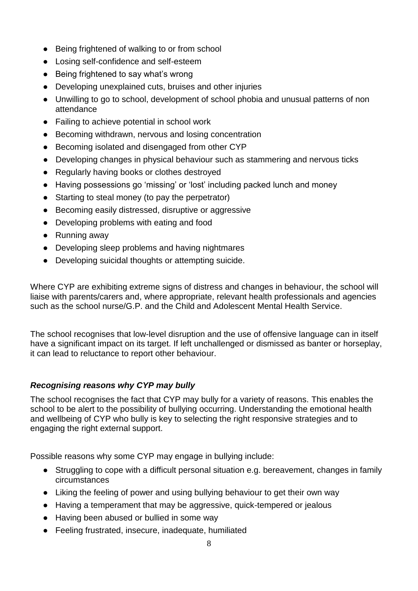- Being frightened of walking to or from school
- Losing self-confidence and self-esteem
- Being frightened to say what's wrong
- Developing unexplained cuts, bruises and other injuries
- Unwilling to go to school, development of school phobia and unusual patterns of non attendance
- Failing to achieve potential in school work
- Becoming withdrawn, nervous and losing concentration
- Becoming isolated and disengaged from other CYP
- Developing changes in physical behaviour such as stammering and nervous ticks
- Regularly having books or clothes destroyed
- Having possessions go 'missing' or 'lost' including packed lunch and money
- Starting to steal money (to pay the perpetrator)
- Becoming easily distressed, disruptive or aggressive
- Developing problems with eating and food
- Running away
- Developing sleep problems and having nightmares
- Developing suicidal thoughts or attempting suicide.

Where CYP are exhibiting extreme signs of distress and changes in behaviour, the school will liaise with parents/carers and, where appropriate, relevant health professionals and agencies such as the school nurse/G.P. and the Child and Adolescent Mental Health Service.

The school recognises that low-level disruption and the use of offensive language can in itself have a significant impact on its target. If left unchallenged or dismissed as banter or horseplay, it can lead to reluctance to report other behaviour.

### *Recognising reasons why CYP may bully*

The school recognises the fact that CYP may bully for a variety of reasons. This enables the school to be alert to the possibility of bullying occurring. Understanding the emotional health and wellbeing of CYP who bully is key to selecting the right responsive strategies and to engaging the right external support.

Possible reasons why some CYP may engage in bullying include:

- Struggling to cope with a difficult personal situation e.g. bereavement, changes in family circumstances
- Liking the feeling of power and using bullying behaviour to get their own way
- Having a temperament that may be aggressive, quick-tempered or jealous
- Having been abused or bullied in some way
- Feeling frustrated, insecure, inadequate, humiliated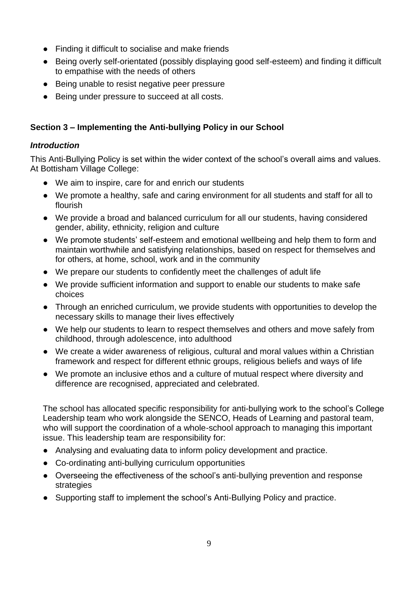- Finding it difficult to socialise and make friends
- Being overly self-orientated (possibly displaying good self-esteem) and finding it difficult to empathise with the needs of others
- Being unable to resist negative peer pressure
- <span id="page-8-0"></span>Being under pressure to succeed at all costs.

# **Section 3 – Implementing the Anti-bullying Policy in our School**

## *Introduction*

This Anti-Bullying Policy is set within the wider context of the school's overall aims and values. At Bottisham Village College:

- We aim to inspire, care for and enrich our students
- We promote a healthy, safe and caring environment for all students and staff for all to flourish
- We provide a broad and balanced curriculum for all our students, having considered gender, ability, ethnicity, religion and culture
- We promote students' self-esteem and emotional wellbeing and help them to form and maintain worthwhile and satisfying relationships, based on respect for themselves and for others, at home, school, work and in the community
- We prepare our students to confidently meet the challenges of adult life
- We provide sufficient information and support to enable our students to make safe choices
- Through an enriched curriculum, we provide students with opportunities to develop the necessary skills to manage their lives effectively
- We help our students to learn to respect themselves and others and move safely from childhood, through adolescence, into adulthood
- We create a wider awareness of religious, cultural and moral values within a Christian framework and respect for different ethnic groups, religious beliefs and ways of life
- We promote an inclusive ethos and a culture of mutual respect where diversity and difference are recognised, appreciated and celebrated.

The school has allocated specific responsibility for anti-bullying work to the school's College Leadership team who work alongside the SENCO, Heads of Learning and pastoral team, who will support the coordination of a whole-school approach to managing this important issue. This leadership team are responsibility for:

- Analysing and evaluating data to inform policy development and practice.
- Co-ordinating anti-bullying curriculum opportunities
- Overseeing the effectiveness of the school's anti-bullying prevention and response strategies
- Supporting staff to implement the school's Anti-Bullying Policy and practice.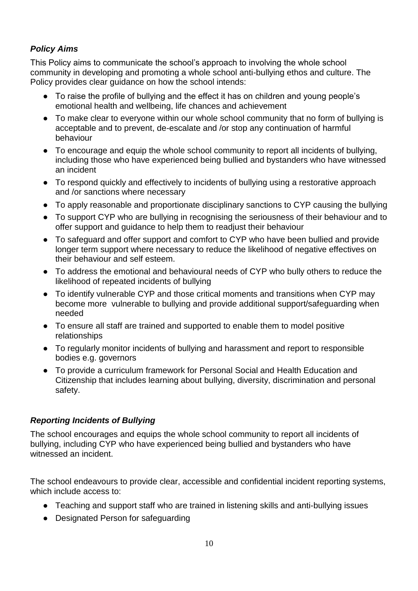# *Policy Aims*

This Policy aims to communicate the school's approach to involving the whole school community in developing and promoting a whole school anti-bullying ethos and culture. The Policy provides clear guidance on how the school intends:

- To raise the profile of bullying and the effect it has on children and young people's emotional health and wellbeing, life chances and achievement
- To make clear to everyone within our whole school community that no form of bullying is acceptable and to prevent, de-escalate and /or stop any continuation of harmful behaviour
- To encourage and equip the whole school community to report all incidents of bullying, including those who have experienced being bullied and bystanders who have witnessed an incident
- To respond quickly and effectively to incidents of bullying using a restorative approach and /or sanctions where necessary
- To apply reasonable and proportionate disciplinary sanctions to CYP causing the bullying
- To support CYP who are bullying in recognising the seriousness of their behaviour and to offer support and guidance to help them to readjust their behaviour
- To safeguard and offer support and comfort to CYP who have been bullied and provide longer term support where necessary to reduce the likelihood of negative effectives on their behaviour and self esteem.
- To address the emotional and behavioural needs of CYP who bully others to reduce the likelihood of repeated incidents of bullying
- To identify vulnerable CYP and those critical moments and transitions when CYP may become more vulnerable to bullying and provide additional support/safeguarding when needed
- To ensure all staff are trained and supported to enable them to model positive relationships
- To regularly monitor incidents of bullying and harassment and report to responsible bodies e.g. governors
- To provide a curriculum framework for Personal Social and Health Education and Citizenship that includes learning about bullying, diversity, discrimination and personal safety.

# *Reporting Incidents of Bullying*

The school encourages and equips the whole school community to report all incidents of bullying, including CYP who have experienced being bullied and bystanders who have witnessed an incident.

The school endeavours to provide clear, accessible and confidential incident reporting systems, which include access to:

- Teaching and support staff who are trained in listening skills and anti-bullying issues
- Designated Person for safeguarding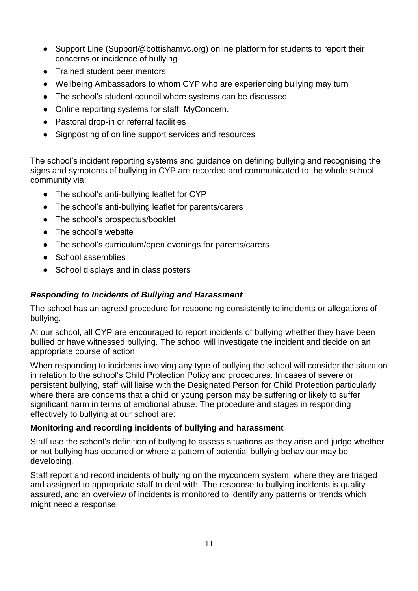- Support Line (Support@bottishamvc.org) online platform for students to report their concerns or incidence of bullying
- Trained student peer mentors
- Wellbeing Ambassadors to whom CYP who are experiencing bullying may turn
- The school's student council where systems can be discussed
- Online reporting systems for staff, MyConcern.
- Pastoral drop-in or referral facilities
- Signposting of on line support services and resources

The school's incident reporting systems and guidance on defining bullying and recognising the signs and symptoms of bullying in CYP are recorded and communicated to the whole school community via:

- The school's anti-bullying leaflet for CYP
- The school's anti-bullying leaflet for parents/carers
- The school's prospectus/booklet
- The school's website
- The school's curriculum/open evenings for parents/carers.
- School assemblies
- School displays and in class posters

## *Responding to Incidents of Bullying and Harassment*

The school has an agreed procedure for responding consistently to incidents or allegations of bullying.

At our school, all CYP are encouraged to report incidents of bullying whether they have been bullied or have witnessed bullying*.* The school will investigate the incident and decide on an appropriate course of action.

When responding to incidents involving any type of bullying the school will consider the situation in relation to the school's Child Protection Policy and procedures. In cases of severe or persistent bullying, staff will liaise with the Designated Person for Child Protection particularly where there are concerns that a child or young person may be suffering or likely to suffer significant harm in terms of emotional abuse. The procedure and stages in responding effectively to bullying at our school are:

### **Monitoring and recording incidents of bullying and harassment**

Staff use the school's definition of bullying to assess situations as they arise and judge whether or not bullying has occurred or where a pattern of potential bullying behaviour may be developing.

Staff report and record incidents of bullying on the myconcern system, where they are triaged and assigned to appropriate staff to deal with. The response to bullying incidents is quality assured, and an overview of incidents is monitored to identify any patterns or trends which might need a response.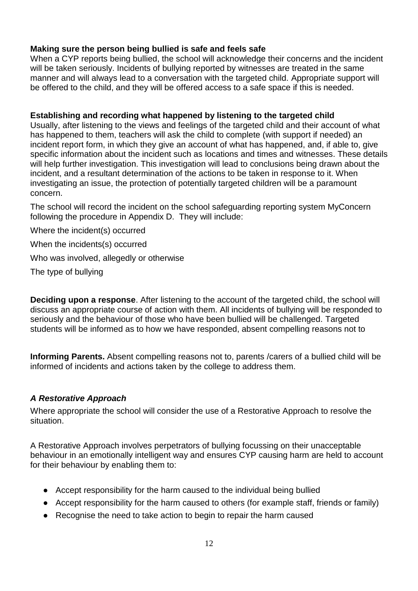### **Making sure the person being bullied is safe and feels safe**

When a CYP reports being bullied, the school will acknowledge their concerns and the incident will be taken seriously. Incidents of bullying reported by witnesses are treated in the same manner and will always lead to a conversation with the targeted child. Appropriate support will be offered to the child, and they will be offered access to a safe space if this is needed.

#### **Establishing and recording what happened by listening to the targeted child**

Usually, after listening to the views and feelings of the targeted child and their account of what has happened to them, teachers will ask the child to complete (with support if needed) an incident report form, in which they give an account of what has happened, and, if able to, give specific information about the incident such as locations and times and witnesses. These details will help further investigation. This investigation will lead to conclusions being drawn about the incident, and a resultant determination of the actions to be taken in response to it. When investigating an issue, the protection of potentially targeted children will be a paramount concern.

The school will record the incident on the school safeguarding reporting system MyConcern following the procedure in Appendix D. They will include:

Where the incident(s) occurred

When the incidents(s) occurred

Who was involved, allegedly or otherwise

The type of bullying

**Deciding upon a response**. After listening to the account of the targeted child, the school will discuss an appropriate course of action with them. All incidents of bullying will be responded to seriously and the behaviour of those who have been bullied will be challenged. Targeted students will be informed as to how we have responded, absent compelling reasons not to

**Informing Parents.** Absent compelling reasons not to, parents /carers of a bullied child will be informed of incidents and actions taken by the college to address them.

### *A Restorative Approach*

Where appropriate the school will consider the use of a Restorative Approach to resolve the situation.

A Restorative Approach involves perpetrators of bullying focussing on their unacceptable behaviour in an emotionally intelligent way and ensures CYP causing harm are held to account for their behaviour by enabling them to:

- Accept responsibility for the harm caused to the individual being bullied
- Accept responsibility for the harm caused to others (for example staff, friends or family)
- Recognise the need to take action to begin to repair the harm caused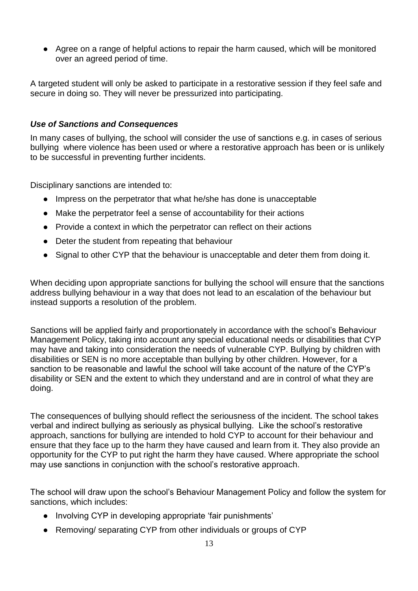● Agree on a range of helpful actions to repair the harm caused, which will be monitored over an agreed period of time.

A targeted student will only be asked to participate in a restorative session if they feel safe and secure in doing so. They will never be pressurized into participating.

#### *Use of Sanctions and Consequences*

In many cases of bullying, the school will consider the use of sanctions e.g. in cases of serious bullying where violence has been used or where a restorative approach has been or is unlikely to be successful in preventing further incidents.

Disciplinary sanctions are intended to:

- Impress on the perpetrator that what he/she has done is unacceptable
- Make the perpetrator feel a sense of accountability for their actions
- Provide a context in which the perpetrator can reflect on their actions
- Deter the student from repeating that behaviour
- Signal to other CYP that the behaviour is unacceptable and deter them from doing it.

When deciding upon appropriate sanctions for bullying the school will ensure that the sanctions address bullying behaviour in a way that does not lead to an escalation of the behaviour but instead supports a resolution of the problem.

Sanctions will be applied fairly and proportionately in accordance with the school's Behaviour Management Policy, taking into account any special educational needs or disabilities that CYP may have and taking into consideration the needs of vulnerable CYP. Bullying by children with disabilities or SEN is no more acceptable than bullying by other children. However, for a sanction to be reasonable and lawful the school will take account of the nature of the CYP's disability or SEN and the extent to which they understand and are in control of what they are doing.

The consequences of bullying should reflect the seriousness of the incident. The school takes verbal and indirect bullying as seriously as physical bullying. Like the school's restorative approach, sanctions for bullying are intended to hold CYP to account for their behaviour and ensure that they face up to the harm they have caused and learn from it. They also provide an opportunity for the CYP to put right the harm they have caused. Where appropriate the school may use sanctions in conjunction with the school's restorative approach.

The school will draw upon the school's Behaviour Management Policy and follow the system for sanctions, which includes:

- Involving CYP in developing appropriate 'fair punishments'
- Removing/ separating CYP from other individuals or groups of CYP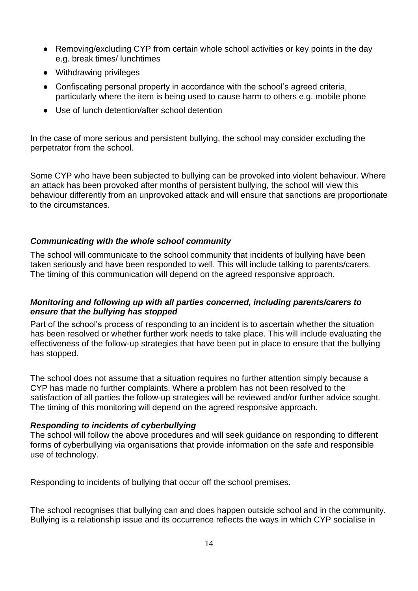- Removing/excluding CYP from certain whole school activities or key points in the day e.g. break times/ lunchtimes
- Withdrawing privileges
- Confiscating personal property in accordance with the school's agreed criteria, particularly where the item is being used to cause harm to others e.g. mobile phone
- Use of lunch detention/after school detention

In the case of more serious and persistent bullying, the school may consider excluding the perpetrator from the school.

Some CYP who have been subjected to bullying can be provoked into violent behaviour. Where an attack has been provoked after months of persistent bullying, the school will view this behaviour differently from an unprovoked attack and will ensure that sanctions are proportionate to the circumstances.

#### *Communicating with the whole school community*

The school will communicate to the school community that incidents of bullying have been taken seriously and have been responded to well. This will include talking to parents/carers. The timing of this communication will depend on the agreed responsive approach.

#### *Monitoring and following up with all parties concerned, including parents/carers to ensure that the bullying has stopped*

Part of the school's process of responding to an incident is to ascertain whether the situation has been resolved or whether further work needs to take place. This will include evaluating the effectiveness of the follow-up strategies that have been put in place to ensure that the bullying has stopped.

The school does not assume that a situation requires no further attention simply because a CYP has made no further complaints. Where a problem has not been resolved to the satisfaction of all parties the follow-up strategies will be reviewed and/or further advice sought*.*  The timing of this monitoring will depend on the agreed responsive approach.

#### *Responding to incidents of cyberbullying*

The school will follow the above procedures and will seek guidance on responding to different forms of cyberbullying via organisations that provide information on the safe and responsible use of technology.

Responding to incidents of bullying that occur off the school premises.

The school recognises that bullying can and does happen outside school and in the community. Bullying is a relationship issue and its occurrence reflects the ways in which CYP socialise in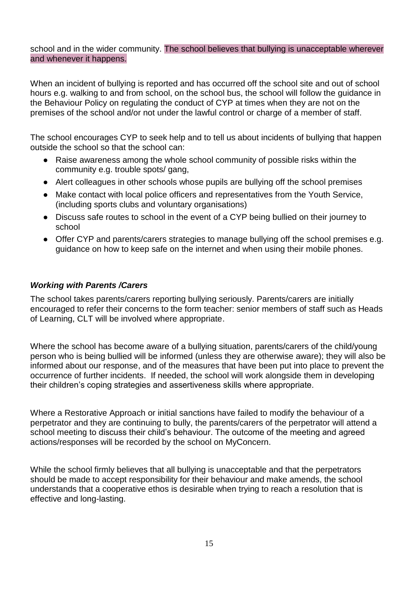#### school and in the wider community. The school believes that bullying is unacceptable wherever and whenever it happens.

When an incident of bullying is reported and has occurred off the school site and out of school hours e.g. walking to and from school, on the school bus, the school will follow the guidance in the Behaviour Policy on regulating the conduct of CYP at times when they are not on the premises of the school and/or not under the lawful control or charge of a member of staff.

The school encourages CYP to seek help and to tell us about incidents of bullying that happen outside the school so that the school can:

- Raise awareness among the whole school community of possible risks within the community e.g. trouble spots/ gang,
- Alert colleagues in other schools whose pupils are bullying off the school premises
- Make contact with local police officers and representatives from the Youth Service, (including sports clubs and voluntary organisations)
- Discuss safe routes to school in the event of a CYP being bullied on their journey to school
- Offer CYP and parents/carers strategies to manage bullying off the school premises e.g. guidance on how to keep safe on the internet and when using their mobile phones.

#### *Working with Parents /Carers*

The school takes parents/carers reporting bullying seriously. Parents/carers are initially encouraged to refer their concerns to the form teacher: senior members of staff such as Heads of Learning, CLT will be involved where appropriate.

Where the school has become aware of a bullying situation, parents/carers of the child/young person who is being bullied will be informed (unless they are otherwise aware); they will also be informed about our response, and of the measures that have been put into place to prevent the occurrence of further incidents. If needed, the school will work alongside them in developing their children's coping strategies and assertiveness skills where appropriate.

Where a Restorative Approach or initial sanctions have failed to modify the behaviour of a perpetrator and they are continuing to bully, the parents/carers of the perpetrator will attend a school meeting to discuss their child's behaviour. The outcome of the meeting and agreed actions/responses will be recorded by the school on MyConcern.

While the school firmly believes that all bullying is unacceptable and that the perpetrators should be made to accept responsibility for their behaviour and make amends, the school understands that a cooperative ethos is desirable when trying to reach a resolution that is effective and long-lasting.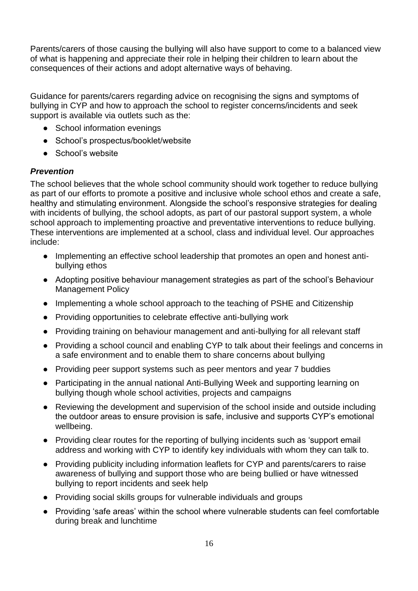Parents/carers of those causing the bullying will also have support to come to a balanced view of what is happening and appreciate their role in helping their children to learn about the consequences of their actions and adopt alternative ways of behaving.

Guidance for parents/carers regarding advice on recognising the signs and symptoms of bullying in CYP and how to approach the school to register concerns/incidents and seek support is available via outlets such as the:

- School information evenings
- School's prospectus/booklet/website
- School's website

#### *Prevention*

The school believes that the whole school community should work together to reduce bullying as part of our efforts to promote a positive and inclusive whole school ethos and create a safe, healthy and stimulating environment. Alongside the school's responsive strategies for dealing with incidents of bullying, the school adopts, as part of our pastoral support system, a whole school approach to implementing proactive and preventative interventions to reduce bullying. These interventions are implemented at a school, class and individual level. Our approaches include:

- Implementing an effective school leadership that promotes an open and honest antibullying ethos
- Adopting positive behaviour management strategies as part of the school's Behaviour Management Policy
- Implementing a whole school approach to the teaching of PSHE and Citizenship
- Providing opportunities to celebrate effective anti-bullying work
- Providing training on behaviour management and anti-bullying for all relevant staff
- Providing a school council and enabling CYP to talk about their feelings and concerns in a safe environment and to enable them to share concerns about bullying
- Providing peer support systems such as peer mentors and year 7 buddies
- Participating in the annual national Anti-Bullying Week and supporting learning on bullying though whole school activities, projects and campaigns
- Reviewing the development and supervision of the school inside and outside including the outdoor areas to ensure provision is safe, inclusive and supports CYP's emotional wellbeing.
- Providing clear routes for the reporting of bullying incidents such as 'support email address and working with CYP to identify key individuals with whom they can talk to.
- Providing publicity including information leaflets for CYP and parents/carers to raise awareness of bullying and support those who are being bullied or have witnessed bullying to report incidents and seek help
- Providing social skills groups for vulnerable individuals and groups
- Providing 'safe areas' within the school where vulnerable students can feel comfortable during break and lunchtime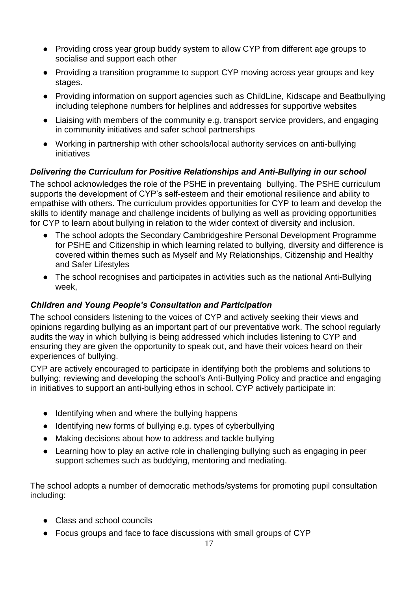- Providing cross year group buddy system to allow CYP from different age groups to socialise and support each other
- Providing a transition programme to support CYP moving across year groups and key stages.
- Providing information on support agencies such as ChildLine, Kidscape and Beatbullying including telephone numbers for helplines and addresses for supportive websites
- Liaising with members of the community e.g. transport service providers, and engaging in community initiatives and safer school partnerships
- Working in partnership with other schools/local authority services on anti-bullying initiatives

## *Delivering the Curriculum for Positive Relationships and Anti-Bullying in our school*

The school acknowledges the role of the PSHE in preventaing bullying. The PSHE curriculum supports the development of CYP's self-esteem and their emotional resilience and ability to empathise with others. The curriculum provides opportunities for CYP to learn and develop the skills to identify manage and challenge incidents of bullying as well as providing opportunities for CYP to learn about bullying in relation to the wider context of diversity and inclusion.

- The school adopts the Secondary Cambridgeshire Personal Development Programme for PSHE and Citizenship in which learning related to bullying, diversity and difference is covered within themes such as Myself and My Relationships, Citizenship and Healthy and Safer Lifestyles
- The school recognises and participates in activities such as the national Anti-Bullying week,

### *Children and Young People's Consultation and Participation*

The school considers listening to the voices of CYP and actively seeking their views and opinions regarding bullying as an important part of our preventative work. The school regularly audits the way in which bullying is being addressed which includes listening to CYP and ensuring they are given the opportunity to speak out, and have their voices heard on their experiences of bullying.

CYP are actively encouraged to participate in identifying both the problems and solutions to bullying; reviewing and developing the school's Anti-Bullying Policy and practice and engaging in initiatives to support an anti-bullying ethos in school. CYP actively participate in:

- Identifying when and where the bullying happens
- Identifying new forms of bullying e.g. types of cyberbullying
- Making decisions about how to address and tackle bullying
- Learning how to play an active role in challenging bullying such as engaging in peer support schemes such as buddying, mentoring and mediating.

The school adopts a number of democratic methods/systems for promoting pupil consultation including:

- Class and school councils
- Focus groups and face to face discussions with small groups of CYP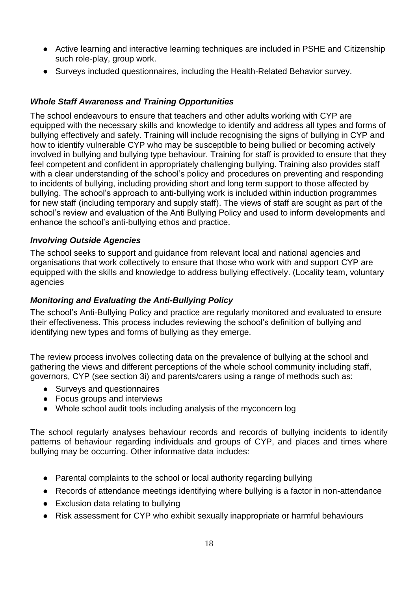- Active learning and interactive learning techniques are included in PSHE and Citizenship such role-play, group work.
- Surveys included questionnaires, including the Health-Related Behavior survey.

# *Whole Staff Awareness and Training Opportunities*

The school endeavours to ensure that teachers and other adults working with CYP are equipped with the necessary skills and knowledge to identify and address all types and forms of bullying effectively and safely. Training will include recognising the signs of bullying in CYP and how to identify vulnerable CYP who may be susceptible to being bullied or becoming actively involved in bullying and bullying type behaviour. Training for staff is provided to ensure that they feel competent and confident in appropriately challenging bullying. Training also provides staff with a clear understanding of the school's policy and procedures on preventing and responding to incidents of bullying, including providing short and long term support to those affected by bullying. The school's approach to anti-bullying work is included within induction programmes for new staff (including temporary and supply staff). The views of staff are sought as part of the school's review and evaluation of the Anti Bullying Policy and used to inform developments and enhance the school's anti-bullying ethos and practice.

#### *Involving Outside Agencies*

The school seeks to support and guidance from relevant local and national agencies and organisations that work collectively to ensure that those who work with and support CYP are equipped with the skills and knowledge to address bullying effectively. (Locality team, voluntary agencies

### *Monitoring and Evaluating the Anti-Bullying Policy*

The school's Anti-Bullying Policy and practice are regularly monitored and evaluated to ensure their effectiveness. This process includes reviewing the school's definition of bullying and identifying new types and forms of bullying as they emerge.

The review process involves collecting data on the prevalence of bullying at the school and gathering the views and different perceptions of the whole school community including staff, governors, CYP (see section 3i) and parents/carers using a range of methods such as:

- Surveys and questionnaires
- Focus groups and interviews
- Whole school audit tools including analysis of the myconcern log

The school regularly analyses behaviour records and records of bullying incidents to identify patterns of behaviour regarding individuals and groups of CYP, and places and times where bullying may be occurring. Other informative data includes:

- Parental complaints to the school or local authority regarding bullying
- Records of attendance meetings identifying where bullying is a factor in non-attendance
- Exclusion data relating to bullying
- Risk assessment for CYP who exhibit sexually inappropriate or harmful behaviours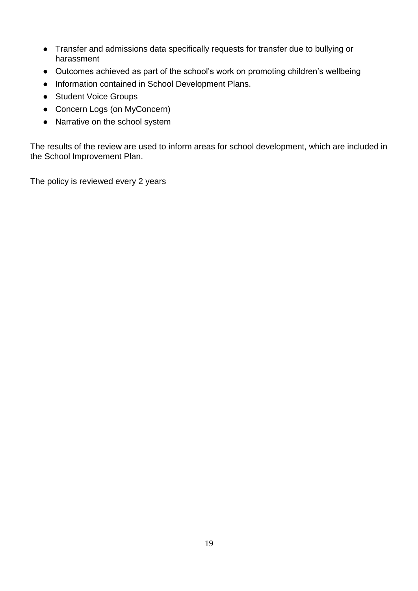- Transfer and admissions data specifically requests for transfer due to bullying or harassment
- Outcomes achieved as part of the school's work on promoting children's wellbeing
- Information contained in School Development Plans.
- Student Voice Groups
- Concern Logs (on MyConcern)
- Narrative on the school system

The results of the review are used to inform areas for school development, which are included in the School Improvement Plan.

<span id="page-18-0"></span>The policy is reviewed every 2 years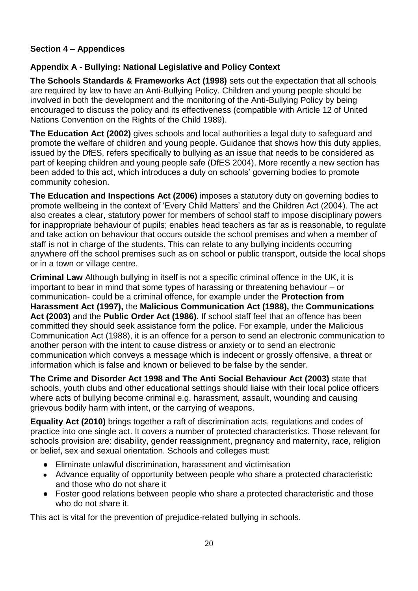## **Section 4 – Appendices**

## **Appendix A - Bullying: National Legislative and Policy Context**

**The Schools Standards & Frameworks Act (1998)** sets out the expectation that all schools are required by law to have an Anti-Bullying Policy. Children and young people should be involved in both the development and the monitoring of the Anti-Bullying Policy by being encouraged to discuss the policy and its effectiveness (compatible with Article 12 of United Nations Convention on the Rights of the Child 1989).

**The Education Act (2002)** gives schools and local authorities a legal duty to safeguard and promote the welfare of children and young people. Guidance that shows how this duty applies, issued by the DfES, refers specifically to bullying as an issue that needs to be considered as part of keeping children and young people safe (DfES 2004). More recently a new section has been added to this act, which introduces a duty on schools' governing bodies to promote community cohesion.

**The Education and Inspections Act (2006)** imposes a statutory duty on governing bodies to promote wellbeing in the context of 'Every Child Matters' and the Children Act (2004). The act also creates a clear, statutory power for members of school staff to impose disciplinary powers for inappropriate behaviour of pupils; enables head teachers as far as is reasonable, to regulate and take action on behaviour that occurs outside the school premises and when a member of staff is not in charge of the students. This can relate to any bullying incidents occurring anywhere off the school premises such as on school or public transport, outside the local shops or in a town or village centre.

**Criminal Law** Although bullying in itself is not a specific criminal offence in the UK, it is important to bear in mind that some types of harassing or threatening behaviour – or communication- could be a criminal offence, for example under the **Protection from Harassment Act (1997),** the **Malicious Communication Act (1988),** the **Communications Act (2003)** and the **Public Order Act (1986).** If school staff feel that an offence has been committed they should seek assistance form the police. For example, under the Malicious Communication Act (1988), it is an offence for a person to send an electronic communication to another person with the intent to cause distress or anxiety or to send an electronic communication which conveys a message which is indecent or grossly offensive, a threat or information which is false and known or believed to be false by the sender.

**The Crime and Disorder Act 1998 and The Anti Social Behaviour Act (2003)** state that schools, youth clubs and other educational settings should liaise with their local police officers where acts of bullying become criminal e.g. harassment, assault, wounding and causing grievous bodily harm with intent, or the carrying of weapons.

**Equality Act (2010)** brings together a raft of discrimination acts, regulations and codes of practice into one single act. It covers a number of protected characteristics. Those relevant for schools provision are: disability, gender reassignment, pregnancy and maternity, race, religion or belief, sex and sexual orientation. Schools and colleges must:

- Eliminate unlawful discrimination, harassment and victimisation
- Advance equality of opportunity between people who share a protected characteristic and those who do not share it
- Foster good relations between people who share a protected characteristic and those who do not share it.

This act is vital for the prevention of prejudice-related bullying in schools.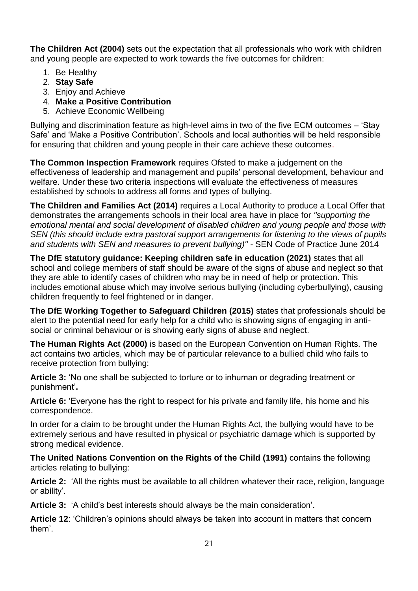**The Children Act (2004)** sets out the expectation that all professionals who work with children and young people are expected to work towards the five outcomes for children:

- 1. Be Healthy
- 2. **Stay Safe**
- 3. Enjoy and Achieve
- 4. **Make a Positive Contribution**
- 5. Achieve Economic Wellbeing

Bullying and discrimination feature as high-level aims in two of the five ECM outcomes – 'Stay Safe' and 'Make a Positive Contribution'. Schools and local authorities will be held responsible for ensuring that children and young people in their care achieve these outcomes.

**The Common Inspection Framework** requires Ofsted to make a judgement on the effectiveness of leadership and management and pupils' personal development, behaviour and welfare. Under these two criteria inspections will evaluate the effectiveness of measures established by schools to address all forms and types of bullying.

**The Children and Families Act (2014)** requires a Local Authority to produce a Local Offer that demonstrates the arrangements schools in their local area have in place for *"supporting the emotional mental and social development of disabled children and young people and those with SEN (this should include extra pastoral support arrangements for listening to the views of pupils and students with SEN and measures to prevent bullying)"* - SEN Code of Practice June 2014

**The DfE statutory guidance: Keeping children safe in education (2021)** states that all school and college members of staff should be aware of the signs of abuse and neglect so that they are able to identify cases of children who may be in need of help or protection. This includes emotional abuse which may involve serious bullying (including cyberbullying), causing children frequently to feel frightened or in danger.

**The DfE Working Together to Safeguard Children (2015)** states that professionals should be alert to the potential need for early help for a child who is showing signs of engaging in antisocial or criminal behaviour or is showing early signs of abuse and neglect.

**The Human Rights Act (2000)** is based on the European Convention on Human Rights. The act contains two articles, which may be of particular relevance to a bullied child who fails to receive protection from bullying:

**Article 3:** 'No one shall be subjected to torture or to inhuman or degrading treatment or punishment'**.**

**Article 6:** 'Everyone has the right to respect for his private and family life, his home and his correspondence.

In order for a claim to be brought under the Human Rights Act, the bullying would have to be extremely serious and have resulted in physical or psychiatric damage which is supported by strong medical evidence.

**The United Nations Convention on the Rights of the Child (1991)** contains the following articles relating to bullying:

**Article 2:** 'All the rights must be available to all children whatever their race, religion, language or ability'.

**Article 3:** 'A child's best interests should always be the main consideration'.

**Article 12**: 'Children's opinions should always be taken into account in matters that concern them'.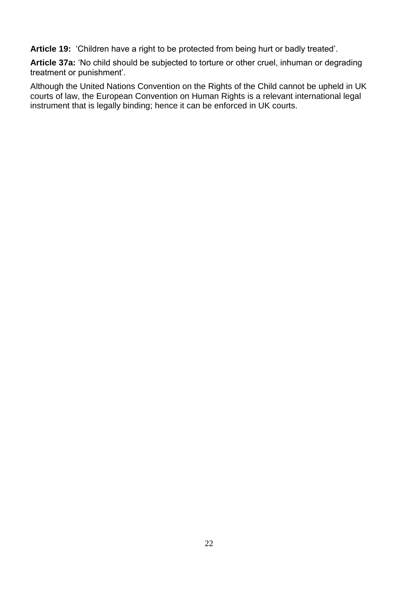**Article 19:** 'Children have a right to be protected from being hurt or badly treated'.

**Article 37a:** 'No child should be subjected to torture or other cruel, inhuman or degrading treatment or punishment'.

Although the United Nations Convention on the Rights of the Child cannot be upheld in UK courts of law, the European Convention on Human Rights is a relevant international legal instrument that is legally binding; hence it can be enforced in UK courts.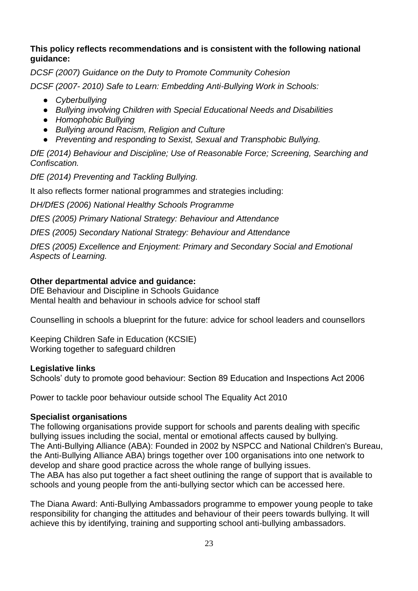#### **This policy reflects recommendations and is consistent with the following national guidance:**

*DCSF (2007) Guidance on the Duty to Promote Community Cohesion DCSF (2007- 2010) Safe to Learn: Embedding Anti-Bullying Work in Schools:*

- *Cyberbullying*
- *Bullying involving Children with Special Educational Needs and Disabilities*
- *Homophobic Bullying*
- *Bullying around Racism, Religion and Culture*
- *Preventing and responding to Sexist, Sexual and Transphobic Bullying.*

*DfE (2014) Behaviour and Discipline; Use of Reasonable Force; Screening, Searching and Confiscation.*

*DfE (2014) Preventing and Tackling Bullying.*

It also reflects former national programmes and strategies including:

*DH/DfES (2006) National Healthy Schools Programme* 

*DfES (2005) Primary National Strategy: Behaviour and Attendance*

*DfES (2005) Secondary National Strategy: Behaviour and Attendance*

*DfES (2005) Excellence and Enjoyment: Primary and Secondary Social and Emotional Aspects of Learning.* 

### **Other departmental advice and guidance:**

DfE Behaviour and Discipline in Schools Guidance Mental health and behaviour in schools advice for school staff

Counselling in schools a blueprint for the future: advice for school leaders and counsellors

Keeping Children Safe in Education (KCSIE) Working together to safeguard children

### **Legislative links**

Schools' duty to promote good behaviour: Section 89 Education and Inspections Act 2006

Power to tackle poor behaviour outside school The Equality Act 2010

#### **Specialist organisations**

The following organisations provide support for schools and parents dealing with specific bullying issues including the social, mental or emotional affects caused by bullying. The Anti-Bullying Alliance (ABA): Founded in 2002 by NSPCC and National Children's Bureau, the Anti-Bullying Alliance ABA) brings together over 100 organisations into one network to develop and share good practice across the whole range of bullying issues. The ABA has also put together a fact sheet outlining the range of support that is available to schools and young people from the anti-bullying sector which can be accessed here.

The Diana Award: Anti-Bullying Ambassadors programme to empower young people to take responsibility for changing the attitudes and behaviour of their peers towards bullying. It will achieve this by identifying, training and supporting school anti-bullying ambassadors.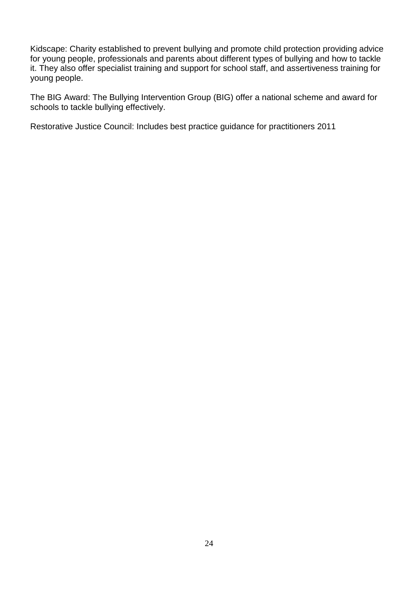Kidscape: Charity established to prevent bullying and promote child protection providing advice for young people, professionals and parents about different types of bullying and how to tackle it. They also offer specialist training and support for school staff, and assertiveness training for young people.

The BIG Award: The Bullying Intervention Group (BIG) offer a national scheme and award for schools to tackle bullying effectively.

Restorative Justice Council: Includes best practice guidance for practitioners 2011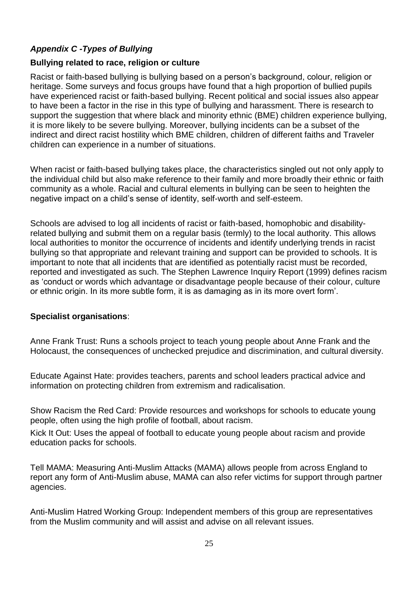# *Appendix C -Types of Bullying*

#### **Bullying related to race, religion or culture**

Racist or faith-based bullying is bullying based on a person's background, colour, religion or heritage. Some surveys and focus groups have found that a high proportion of bullied pupils have experienced racist or faith-based bullying. Recent political and social issues also appear to have been a factor in the rise in this type of bullying and harassment. There is research to support the suggestion that where black and minority ethnic (BME) children experience bullying, it is more likely to be severe bullying. Moreover, bullying incidents can be a subset of the indirect and direct racist hostility which BME children, children of different faiths and Traveler children can experience in a number of situations.

When racist or faith-based bullying takes place, the characteristics singled out not only apply to the individual child but also make reference to their family and more broadly their ethnic or faith community as a whole. Racial and cultural elements in bullying can be seen to heighten the negative impact on a child's sense of identity, self-worth and self-esteem.

Schools are advised to log all incidents of racist or faith-based, homophobic and disabilityrelated bullying and submit them on a regular basis (termly) to the local authority. This allows local authorities to monitor the occurrence of incidents and identify underlying trends in racist bullying so that appropriate and relevant training and support can be provided to schools. It is important to note that all incidents that are identified as potentially racist must be recorded, reported and investigated as such. The Stephen Lawrence Inquiry Report (1999) defines racism as 'conduct or words which advantage or disadvantage people because of their colour, culture or ethnic origin. In its more subtle form, it is as damaging as in its more overt form'.

### **Specialist organisations**:

Anne Frank Trust: Runs a schools project to teach young people about Anne Frank and the Holocaust, the consequences of unchecked prejudice and discrimination, and cultural diversity.

Educate Against Hate: provides teachers, parents and school leaders practical advice and information on protecting children from extremism and radicalisation.

Show Racism the Red Card: Provide resources and workshops for schools to educate young people, often using the high profile of football, about racism.

Kick It Out: Uses the appeal of football to educate young people about racism and provide education packs for schools.

Tell MAMA: Measuring Anti-Muslim Attacks (MAMA) allows people from across England to report any form of Anti-Muslim abuse, MAMA can also refer victims for support through partner agencies.

Anti-Muslim Hatred Working Group: Independent members of this group are representatives from the Muslim community and will assist and advise on all relevant issues.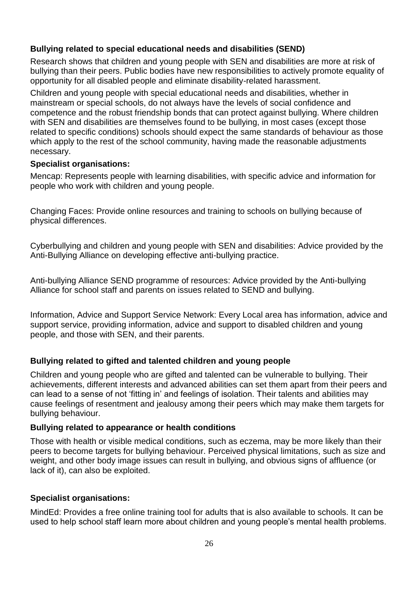#### **Bullying related to special educational needs and disabilities (SEND)**

Research shows that children and young people with SEN and disabilities are more at risk of bullying than their peers. Public bodies have new responsibilities to actively promote equality of opportunity for all disabled people and eliminate disability-related harassment.

Children and young people with special educational needs and disabilities, whether in mainstream or special schools, do not always have the levels of social confidence and competence and the robust friendship bonds that can protect against bullying. Where children with SEN and disabilities are themselves found to be bullying, in most cases (except those related to specific conditions) schools should expect the same standards of behaviour as those which apply to the rest of the school community, having made the reasonable adjustments necessary.

#### **Specialist organisations:**

Mencap: Represents people with learning disabilities, with specific advice and information for people who work with children and young people.

Changing Faces: Provide online resources and training to schools on bullying because of physical differences.

Cyberbullying and children and young people with SEN and disabilities: Advice provided by the Anti-Bullying Alliance on developing effective anti-bullying practice.

Anti-bullying Alliance SEND programme of resources: Advice provided by the Anti-bullying Alliance for school staff and parents on issues related to SEND and bullying.

Information, Advice and Support Service Network: Every Local area has information, advice and support service, providing information, advice and support to disabled children and young people, and those with SEN, and their parents.

#### **Bullying related to gifted and talented children and young people**

Children and young people who are gifted and talented can be vulnerable to bullying. Their achievements, different interests and advanced abilities can set them apart from their peers and can lead to a sense of not 'fitting in' and feelings of isolation. Their talents and abilities may cause feelings of resentment and jealousy among their peers which may make them targets for bullying behaviour.

#### **Bullying related to appearance or health conditions**

Those with health or visible medical conditions, such as eczema, may be more likely than their peers to become targets for bullying behaviour. Perceived physical limitations, such as size and weight, and other body image issues can result in bullying, and obvious signs of affluence (or lack of it), can also be exploited.

#### **Specialist organisations:**

MindEd: Provides a free online training tool for adults that is also available to schools. It can be used to help school staff learn more about children and young people's mental health problems.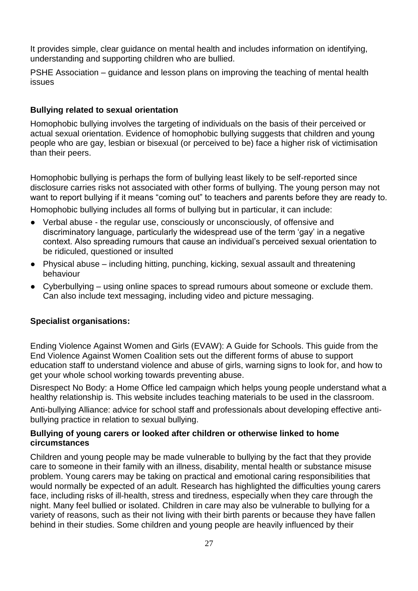It provides simple, clear guidance on mental health and includes information on identifying, understanding and supporting children who are bullied.

PSHE Association – guidance and lesson plans on improving the teaching of mental health issues

#### **Bullying related to sexual orientation**

Homophobic bullying involves the targeting of individuals on the basis of their perceived or actual sexual orientation. Evidence of homophobic bullying suggests that children and young people who are gay, lesbian or bisexual (or perceived to be) face a higher risk of victimisation than their peers.

Homophobic bullying is perhaps the form of bullying least likely to be self-reported since disclosure carries risks not associated with other forms of bullying. The young person may not want to report bullying if it means "coming out" to teachers and parents before they are ready to.

Homophobic bullying includes all forms of bullying but in particular, it can include:

- Verbal abuse the regular use, consciously or unconsciously, of offensive and discriminatory language, particularly the widespread use of the term 'gay' in a negative context. Also spreading rumours that cause an individual's perceived sexual orientation to be ridiculed, questioned or insulted
- Physical abuse including hitting, punching, kicking, sexual assault and threatening behaviour
- Cyberbullying using online spaces to spread rumours about someone or exclude them. Can also include text messaging, including video and picture messaging.

#### **Specialist organisations:**

Ending Violence Against Women and Girls (EVAW): A Guide for Schools. This guide from the End Violence Against Women Coalition sets out the different forms of abuse to support education staff to understand violence and abuse of girls, warning signs to look for, and how to get your whole school working towards preventing abuse.

Disrespect No Body: a Home Office led campaign which helps young people understand what a healthy relationship is. This website includes teaching materials to be used in the classroom.

Anti-bullying Alliance: advice for school staff and professionals about developing effective antibullying practice in relation to sexual bullying.

#### **Bullying of young carers or looked after children or otherwise linked to home circumstances**

Children and young people may be made vulnerable to bullying by the fact that they provide care to someone in their family with an illness, disability, mental health or substance misuse problem. Young carers may be taking on practical and emotional caring responsibilities that would normally be expected of an adult. Research has highlighted the difficulties young carers face, including risks of ill-health, stress and tiredness, especially when they care through the night. Many feel bullied or isolated. Children in care may also be vulnerable to bullying for a variety of reasons, such as their not living with their birth parents or because they have fallen behind in their studies. Some children and young people are heavily influenced by their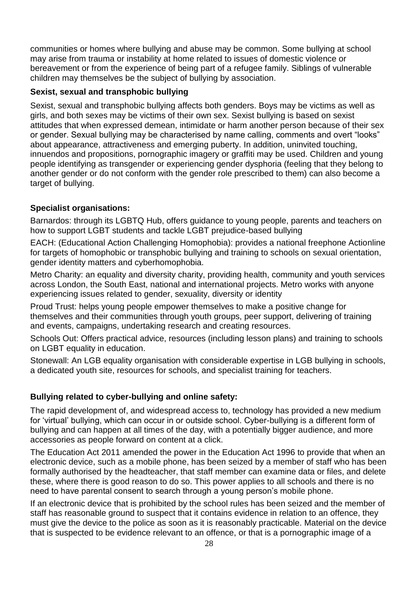communities or homes where bullying and abuse may be common. Some bullying at school may arise from trauma or instability at home related to issues of domestic violence or bereavement or from the experience of being part of a refugee family. Siblings of vulnerable children may themselves be the subject of bullying by association.

#### **Sexist, sexual and transphobic bullying**

Sexist, sexual and transphobic bullying affects both genders. Boys may be victims as well as girls, and both sexes may be victims of their own sex. Sexist bullying is based on sexist attitudes that when expressed demean, intimidate or harm another person because of their sex or gender. Sexual bullying may be characterised by name calling, comments and overt "looks" about appearance, attractiveness and emerging puberty. In addition, uninvited touching, innuendos and propositions, pornographic imagery or graffiti may be used. Children and young people identifying as transgender or experiencing gender dysphoria (feeling that they belong to another gender or do not conform with the gender role prescribed to them) can also become a target of bullying.

### **Specialist organisations:**

Barnardos: through its LGBTQ Hub, offers guidance to young people, parents and teachers on how to support LGBT students and tackle LGBT prejudice-based bullying

EACH: (Educational Action Challenging Homophobia): provides a national freephone Actionline for targets of homophobic or transphobic bullying and training to schools on sexual orientation, gender identity matters and cyberhomophobia.

Metro Charity: an equality and diversity charity, providing health, community and youth services across London, the South East, national and international projects. Metro works with anyone experiencing issues related to gender, sexuality, diversity or identity

Proud Trust: helps young people empower themselves to make a positive change for themselves and their communities through youth groups, peer support, delivering of training and events, campaigns, undertaking research and creating resources.

Schools Out: Offers practical advice, resources (including lesson plans) and training to schools on LGBT equality in education.

Stonewall: An LGB equality organisation with considerable expertise in LGB bullying in schools, a dedicated youth site, resources for schools, and specialist training for teachers.

### **Bullying related to cyber-bullying and online safety:**

The rapid development of, and widespread access to, technology has provided a new medium for 'virtual' bullying, which can occur in or outside school. Cyber-bullying is a different form of bullying and can happen at all times of the day, with a potentially bigger audience, and more accessories as people forward on content at a click.

The Education Act 2011 amended the power in the Education Act 1996 to provide that when an electronic device, such as a mobile phone, has been seized by a member of staff who has been formally authorised by the headteacher, that staff member can examine data or files, and delete these, where there is good reason to do so. This power applies to all schools and there is no need to have parental consent to search through a young person's mobile phone.

If an electronic device that is prohibited by the school rules has been seized and the member of staff has reasonable ground to suspect that it contains evidence in relation to an offence, they must give the device to the police as soon as it is reasonably practicable. Material on the device that is suspected to be evidence relevant to an offence, or that is a pornographic image of a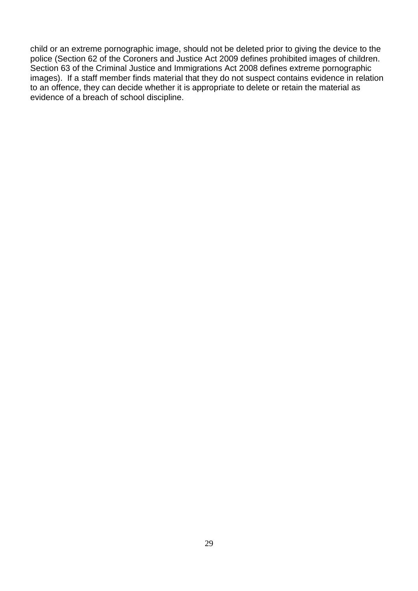child or an extreme pornographic image, should not be deleted prior to giving the device to the police (Section 62 of the Coroners and Justice Act 2009 defines prohibited images of children. Section 63 of the Criminal Justice and Immigrations Act 2008 defines extreme pornographic images). If a staff member finds material that they do not suspect contains evidence in relation to an offence, they can decide whether it is appropriate to delete or retain the material as evidence of a breach of school discipline.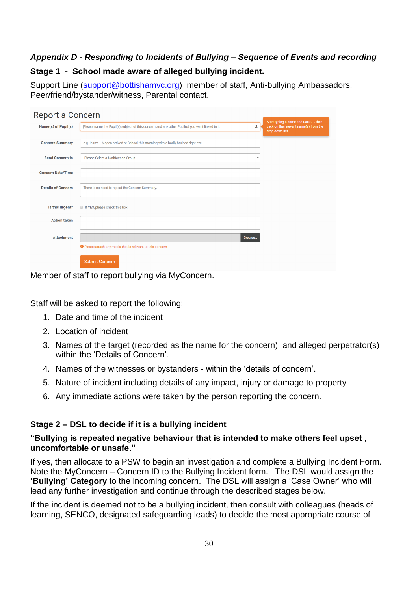# <span id="page-29-0"></span>*Appendix D - Responding to Incidents of Bullying – Sequence of Events and recording*

#### **Stage 1 - School made aware of alleged bullying incident.**

Support Line [\(support@bottishamvc.org\)](mailto:support@bottishamvc.org) member of staff, Anti-bullying Ambassadors, Peer/friend/bystander/witness, Parental contact.

| Report a Concern          |                                                                                               |              |                                                                                                  |
|---------------------------|-----------------------------------------------------------------------------------------------|--------------|--------------------------------------------------------------------------------------------------|
| Name(s) of Pupil(s)       | Please name the Pupil(s) subject of this concern and any other Pupil(s) you want linked to it | Q            | Start typing a name and PAUSE - then<br>click on the relevant name(s) from the<br>drop down list |
|                           |                                                                                               |              |                                                                                                  |
| <b>Concern Summary</b>    | e.g. Injury - Megan arrived at School this morning with a badly bruised right eye.            |              |                                                                                                  |
| <b>Send Concern to</b>    | Please Select a Notification Group                                                            | $\mathbf{v}$ |                                                                                                  |
| <b>Concern Date/Time</b>  |                                                                                               |              |                                                                                                  |
| <b>Details of Concern</b> | There is no need to repeat the Concern Summary.                                               |              |                                                                                                  |
| Is this urgent?           | If YES, please check this box.                                                                |              |                                                                                                  |
| <b>Action taken</b>       |                                                                                               |              |                                                                                                  |
| <b>Attachment</b>         |                                                                                               | Browse       |                                                                                                  |
|                           | <b>O</b> Please attach any media that is relevant to this concern.                            |              |                                                                                                  |
|                           | <b>Submit Concern</b>                                                                         |              |                                                                                                  |

Member of staff to report bullying via MyConcern.

Staff will be asked to report the following:

- 1. Date and time of the incident
- 2. Location of incident
- 3. Names of the target (recorded as the name for the concern) and alleged perpetrator(s) within the 'Details of Concern'.
- 4. Names of the witnesses or bystanders within the 'details of concern'.
- 5. Nature of incident including details of any impact, injury or damage to property
- 6. Any immediate actions were taken by the person reporting the concern.

### **Stage 2 – DSL to decide if it is a bullying incident**

### **"Bullying is repeated negative behaviour that is intended to make others feel upset , uncomfortable or unsafe."**

If yes, then allocate to a PSW to begin an investigation and complete a Bullying Incident Form. Note the MyConcern – Concern ID to the Bullying Incident form. The DSL would assign the **'Bullying' Category** to the incoming concern. The DSL will assign a 'Case Owner' who will lead any further investigation and continue through the described stages below.

If the incident is deemed not to be a bullying incident, then consult with colleagues (heads of learning, SENCO, designated safeguarding leads) to decide the most appropriate course of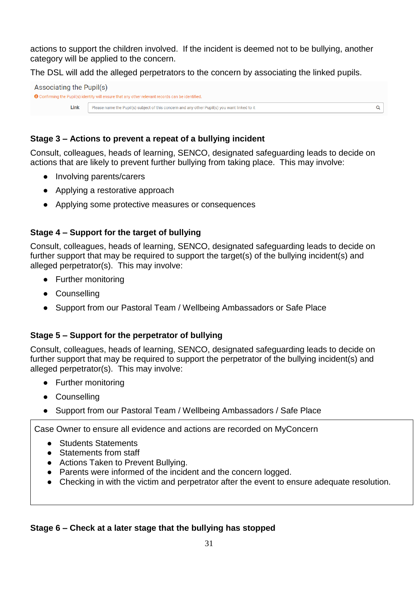actions to support the children involved. If the incident is deemed not to be bullying, another category will be applied to the concern.

The DSL will add the alleged perpetrators to the concern by associating the linked pupils.

| <b>O</b> Confirming the Pupil(s) identity will ensure that any other relevant records can be identified. |  |
|----------------------------------------------------------------------------------------------------------|--|
|                                                                                                          |  |
| Link<br>Please name the Pupil(s) subject of this concern and any other Pupil(s) you want linked to it    |  |

## **Stage 3 – Actions to prevent a repeat of a bullying incident**

Consult, colleagues, heads of learning, SENCO, designated safeguarding leads to decide on actions that are likely to prevent further bullying from taking place. This may involve:

- Involving parents/carers
- Applying a restorative approach
- Applying some protective measures or consequences

### **Stage 4 – Support for the target of bullying**

Consult, colleagues, heads of learning, SENCO, designated safeguarding leads to decide on further support that may be required to support the target(s) of the bullying incident(s) and alleged perpetrator(s). This may involve:

- Further monitoring
- Counselling
- Support from our Pastoral Team / Wellbeing Ambassadors or Safe Place

### **Stage 5 – Support for the perpetrator of bullying**

Consult, colleagues, heads of learning, SENCO, designated safeguarding leads to decide on further support that may be required to support the perpetrator of the bullying incident(s) and alleged perpetrator(s). This may involve:

- Further monitoring
- Counselling
- Support from our Pastoral Team / Wellbeing Ambassadors / Safe Place

Case Owner to ensure all evidence and actions are recorded on MyConcern

- Students Statements
- Statements from staff
- Actions Taken to Prevent Bullving.
- Parents were informed of the incident and the concern logged.
- Checking in with the victim and perpetrator after the event to ensure adequate resolution.

#### **Stage 6 – Check at a later stage that the bullying has stopped**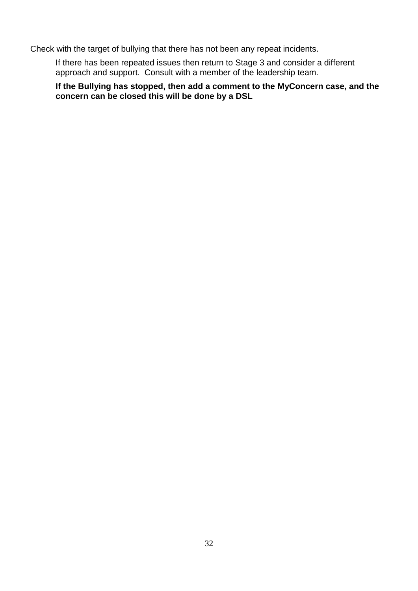Check with the target of bullying that there has not been any repeat incidents.

If there has been repeated issues then return to Stage 3 and consider a different approach and support. Consult with a member of the leadership team.

**If the Bullying has stopped, then add a comment to the MyConcern case, and the concern can be closed this will be done by a DSL**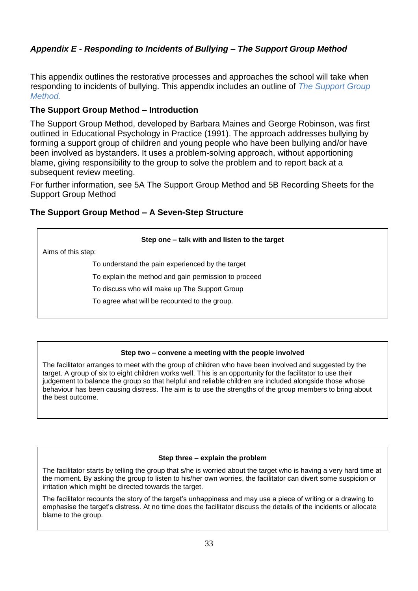# *Appendix E - Responding to Incidents of Bullying – The Support Group Method*

This appendix outlines the restorative processes and approaches the school will take when responding to incidents of bullying. This appendix includes an outline of *The Support Group Method.* 

#### **The Support Group Method – Introduction**

The Support Group Method, developed by Barbara Maines and George Robinson, was first outlined in Educational Psychology in Practice (1991). The approach addresses bullying by forming a support group of children and young people who have been bullying and/or have been involved as bystanders. It uses a problem-solving approach, without apportioning blame, giving responsibility to the group to solve the problem and to report back at a subsequent review meeting.

For further information, see [5A The Support Group Method](http://www.cambridgeshirepshe.org.uk/AntiBullying/5ATheSupportGroupMethod.pdf) and [5B Recording Sheets for the](http://www.cambridgeshirepshe.org.uk/AntiBullying/5BRecordingSheetsSupportGroupMethod.doc)  [Support Group Method](http://www.cambridgeshirepshe.org.uk/AntiBullying/5BRecordingSheetsSupportGroupMethod.doc)

#### **The Support Group Method – A Seven-Step Structure**

#### **Step one – talk with and listen to the target**

Aims of this step:

To understand the pain experienced by the target

To explain the method and gain permission to proceed

To discuss who will make up The Support Group

To agree what will be recounted to the group.

#### **Step two – convene a meeting with the people involved**

The facilitator arranges to meet with the group of children who have been involved and suggested by the target. A group of six to eight children works well. This is an opportunity for the facilitator to use their judgement to balance the group so that helpful and reliable children are included alongside those whose behaviour has been causing distress. The aim is to use the strengths of the group members to bring about the best outcome.

#### **Step three – explain the problem**

The facilitator starts by telling the group that s/he is worried about the target who is having a very hard time at the moment. By asking the group to listen to his/her own worries, the facilitator can divert some suspicion or irritation which might be directed towards the target.

The facilitator recounts the story of the target's unhappiness and may use a piece of writing or a drawing to emphasise the target's distress. At no time does the facilitator discuss the details of the incidents or allocate blame to the group.